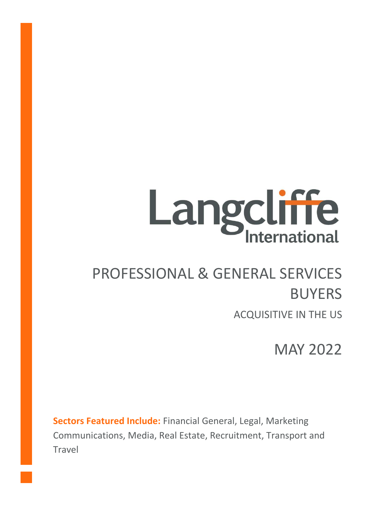# **Langcliffe**

# PROFESSIONAL & GENERAL SERVICES BUYERS

ACQUISITIVE IN THE US

MAY 2022

**Sectors Featured Include:** Financial General, Legal, Marketing Communications, Media, Real Estate, Recruitment, Transport and Travel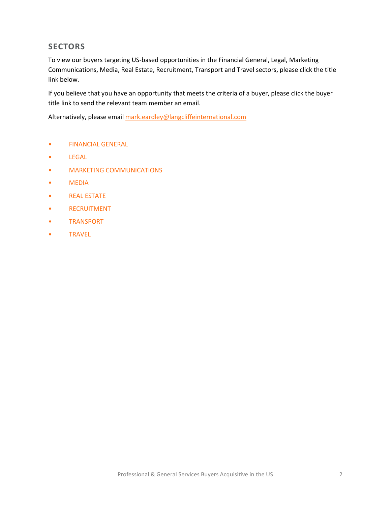# **SECTORS**

To view our buyers targeting US-based opportunities in the Financial General, Legal, Marketing Communications, Media, Real Estate, Recruitment, Transport and Travel sectors, please click the title link below.

If you believe that you have an opportunity that meets the criteria of a buyer, please click the buyer title link to send the relevant team member an email.

Alternatively, please email [mark.eardley@langcliffeinternational.com](mailto:mark.eardley@langcliffeinternational.com?subject=Professional%20and%20General%20Services%20Buyers%20Acquisitive%20in%20the%20US%20-%20May%202022)

- [FINANCIAL GENERAL](#page-2-0)
- [LEGAL](#page-6-0)
- [MARKETING COMMUNICATIONS](#page-7-0)
- [MEDIA](#page-13-0)
- [REAL ESTATE](#page-16-0)
- [RECRUITMENT](#page-17-0)
- [TRANSPORT](#page-20-0)
- [TRAVEL](#page-23-0)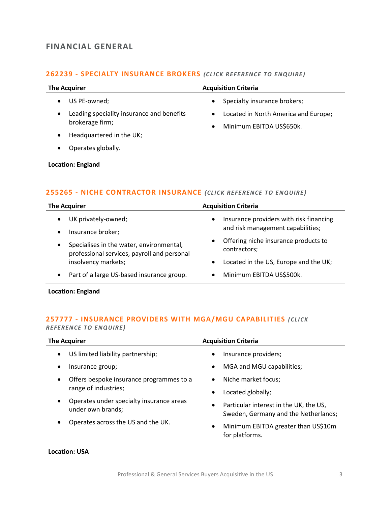# <span id="page-2-0"></span>**FINANCIAL GENERAL**

#### **262239 - [SPECIALTY INSURANCE BROKERS](mailto:george.davies@langcliffeinternational.com?subject=262239%20-%20Specialty%20Insurance%20Brokers)** *(CLICK REFE RENCE TO E NQUIRE )*

| <b>The Acquirer</b>                                          | <b>Acquisition Criteria</b>                                                                |
|--------------------------------------------------------------|--------------------------------------------------------------------------------------------|
| US PE-owned;                                                 | Specialty insurance brokers;<br>$\bullet$                                                  |
| Leading speciality insurance and benefits<br>brokerage firm; | Located in North America and Europe;<br>$\bullet$<br>Minimum EBITDA US\$650k.<br>$\bullet$ |
| Headquartered in the UK;                                     |                                                                                            |
| Operates globally.                                           |                                                                                            |

#### **Location: England**

#### **255265 - [NICHE CONTRACTOR INSURANCE](mailto:eloka.philip@langcliffeinternational.com?subject=255265%20-%20Niche%20Contractor%20Insurance)** *(CLICK REFE RENCE TO ENQUIRE )*

| <b>The Acquirer</b>                                                                                  | <b>Acquisition Criteria</b>                                                  |
|------------------------------------------------------------------------------------------------------|------------------------------------------------------------------------------|
| UK privately-owned;<br>Insurance broker;                                                             | Insurance providers with risk financing<br>and risk management capabilities; |
| Specialises in the water, environmental,<br>$\bullet$<br>professional services, payroll and personal | Offering niche insurance products to<br>contractors;                         |
| insolvency markets;                                                                                  | Located in the US, Europe and the UK;                                        |
| Part of a large US-based insurance group.                                                            | Minimum EBITDA US\$500k.                                                     |
|                                                                                                      |                                                                              |

**Location: England**

# **257777 - [INSURANCE PROVIDERS WITH MGA/MGU CAPABILITIES](mailto:eloka.philip@langcliffeinternational.com?subject=257777%20-%20Insurance%20Providers%20with%20MGA/MGU%20Capabilities)** *(CLICK REFEREN CE TO ENQUIRE )*

| <b>The Acquirer</b>                                                        | <b>Acquisition Criteria</b>                                                    |
|----------------------------------------------------------------------------|--------------------------------------------------------------------------------|
| US limited liability partnership;<br>$\bullet$                             | Insurance providers;                                                           |
| Insurance group;                                                           | MGA and MGU capabilities;                                                      |
| Offers bespoke insurance programmes to a<br>range of industries;           | Niche market focus;                                                            |
|                                                                            | Located globally;                                                              |
| Operates under specialty insurance areas<br>$\bullet$<br>under own brands; | Particular interest in the UK, the US,<br>Sweden, Germany and the Netherlands; |
| Operates across the US and the UK.                                         | Minimum EBITDA greater than US\$10m<br>for platforms.                          |

**Location: USA**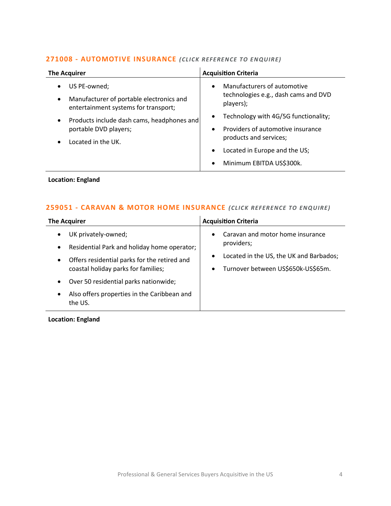#### **271008 - [AUTOMOTIVE INSURANCE](mailto:maryia.amrez@langcliffeinternational.com?subject=271008%20-%20Automotive%20Insurance)** (CLICK REFERENCE TO ENQUIRE)

| <b>The Acquirer</b>                                                                                           | <b>Acquisition Criteria</b>                                                                                                                                                                                          |
|---------------------------------------------------------------------------------------------------------------|----------------------------------------------------------------------------------------------------------------------------------------------------------------------------------------------------------------------|
| US PE-owned;<br>Manufacturer of portable electronics and<br>$\bullet$<br>entertainment systems for transport; | Manufacturers of automotive<br>$\bullet$<br>technologies e.g., dash cams and DVD<br>players);                                                                                                                        |
| Products include dash cams, headphones and<br>$\bullet$<br>portable DVD players;<br>Located in the UK.        | Technology with 4G/5G functionality;<br>$\bullet$<br>Providers of automotive insurance<br>$\bullet$<br>products and services;<br>Located in Europe and the US;<br>$\bullet$<br>Minimum EBITDA US\$300k.<br>$\bullet$ |

# **Location: England**

# **259051 - [CARAVAN & MOTOR HOME INSURANCE](mailto:lauren.parker@langcliffeinternational.com?subject=259051%20-%20Caravan%20and%20Motor%20Home%20Insurance)** *(CLICK REFERENCE TO ENQUIRE)*

| The Acquirer                                                                                                                                                                                     | <b>Acquisition Criteria</b>                                                                                                                                            |
|--------------------------------------------------------------------------------------------------------------------------------------------------------------------------------------------------|------------------------------------------------------------------------------------------------------------------------------------------------------------------------|
| UK privately-owned;<br>$\bullet$<br>Residential Park and holiday home operator;<br>$\bullet$<br>Offers residential parks for the retired and<br>$\bullet$<br>coastal holiday parks for families; | Caravan and motor home insurance<br>$\bullet$<br>providers;<br>Located in the US, the UK and Barbados;<br>$\bullet$<br>Turnover between US\$650k-US\$65m.<br>$\bullet$ |
| Over 50 residential parks nationwide;<br>$\bullet$                                                                                                                                               |                                                                                                                                                                        |
| Also offers properties in the Caribbean and<br>$\bullet$<br>the US.                                                                                                                              |                                                                                                                                                                        |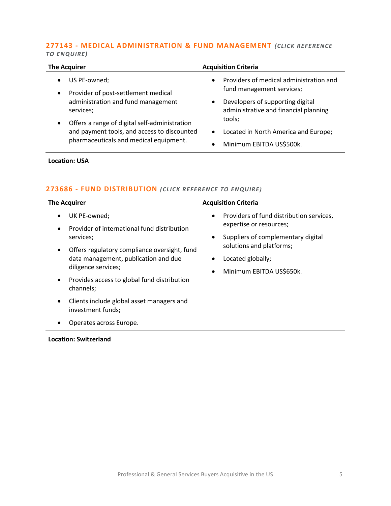#### **277143 - [MEDICAL ADMINISTRATION & FUND MANAGEMENT](mailto:george.davies@langcliffeinternational.com?subject=277143%20-%20Medical%20Administration%20and%20Fund%20Management)** *(CLICK REFE RENCE TO EN QUIRE)*

| <b>The Acquirer</b>                                                                                       | <b>Acquisition Criteria</b>                                                       |
|-----------------------------------------------------------------------------------------------------------|-----------------------------------------------------------------------------------|
| US PE-owned;<br>$\bullet$<br>Provider of post-settlement medical<br>$\bullet$                             | Providers of medical administration and<br>$\bullet$<br>fund management services; |
| administration and fund management<br>services;                                                           | Developers of supporting digital<br>٠<br>administrative and financial planning    |
| Offers a range of digital self-administration<br>$\bullet$<br>and payment tools, and access to discounted | tools;<br>Located in North America and Europe;<br>$\bullet$                       |
| pharmaceuticals and medical equipment.                                                                    | Minimum EBITDA US\$500k.<br>$\bullet$                                             |

#### **Location: USA**

# **273686 - [FUND DISTRIBUTION](mailto:maryia.amrez@langcliffeinternational.com?subject=273686%20-%20Fund%20Distribution)** *(CLICK RE FE RENCE TO EN QUIRE)*

| <b>The Acquirer</b>                                                                                                                                                                                                                                                                                                                                                                               | <b>Acquisition Criteria</b>                                                                                                                                                                                                   |
|---------------------------------------------------------------------------------------------------------------------------------------------------------------------------------------------------------------------------------------------------------------------------------------------------------------------------------------------------------------------------------------------------|-------------------------------------------------------------------------------------------------------------------------------------------------------------------------------------------------------------------------------|
| UK PE-owned;<br>٠<br>Provider of international fund distribution<br>$\bullet$<br>services;<br>Offers regulatory compliance oversight, fund<br>٠<br>data management, publication and due<br>diligence services;<br>Provides access to global fund distribution<br>$\bullet$<br>channels;<br>Clients include global asset managers and<br>$\bullet$<br>investment funds;<br>Operates across Europe. | Providers of fund distribution services,<br>$\bullet$<br>expertise or resources;<br>Suppliers of complementary digital<br>$\bullet$<br>solutions and platforms;<br>Located globally;<br>Minimum EBITDA US\$650k.<br>$\bullet$ |

#### **Location: Switzerland**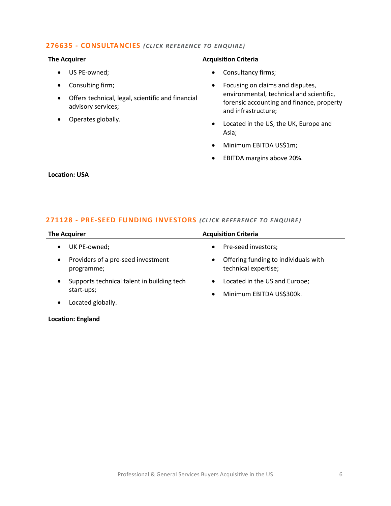#### **276635 - [CONSULTANCIES](mailto:eloka.philip@langcliffeinternational.com?subject=276635%20-%20Consultancies)** *(CLICK RE FEREN CE TO ENQUIRE)*

| <b>The Acquirer</b>                                                                  | <b>Acquisition Criteria</b>                                                                                  |
|--------------------------------------------------------------------------------------|--------------------------------------------------------------------------------------------------------------|
| US PE-owned;                                                                         | Consultancy firms;<br>$\bullet$                                                                              |
| Consulting firm;                                                                     | Focusing on claims and disputes,<br>$\bullet$                                                                |
| Offers technical, legal, scientific and financial<br>$\bullet$<br>advisory services; | environmental, technical and scientific,<br>forensic accounting and finance, property<br>and infrastructure; |
| Operates globally.                                                                   | Located in the US, the UK, Europe and<br>$\bullet$<br>Asia;                                                  |
|                                                                                      | Minimum EBITDA US\$1m;                                                                                       |
|                                                                                      | EBITDA margins above 20%.<br>$\bullet$                                                                       |

**Location: USA**

# **271128 - [PRE-SEED FUNDING INVESTORS](mailto:millie.maddocks@langcliffeinternational.com?subject=271128%20-%20Pre-Seed%20Funding%20Investors)** *(CLICK REFE RENCE TO E NQUIRE )*

| <b>The Acquirer</b>                                           | <b>Acquisition Criteria</b>                                                         |
|---------------------------------------------------------------|-------------------------------------------------------------------------------------|
| UK PE-owned;<br>٠                                             | Pre-seed investors;<br>$\bullet$                                                    |
| Providers of a pre-seed investment<br>٠<br>programme;         | Offering funding to individuals with<br>$\bullet$<br>technical expertise;           |
| Supports technical talent in building tech<br>٠<br>start-ups; | Located in the US and Europe;<br>$\bullet$<br>Minimum EBITDA US\$300k.<br>$\bullet$ |
| Located globally.                                             |                                                                                     |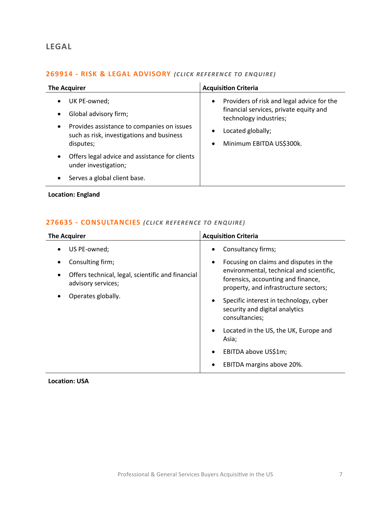# <span id="page-6-0"></span>**LEGAL**

# **269914 - [RISK & LEGAL ADVISORY](mailto:emily.mcdermott@langcliffeinternational.com?subject=269914%20-%20Risk%20and%20Legal%20Advisory)** *(CLICK REFEREN CE TO ENQUIRE )*

|                        | <b>The Acquirer</b>                                                                                                                           | <b>Acquisition Criteria</b>                                                                                                                                                                            |
|------------------------|-----------------------------------------------------------------------------------------------------------------------------------------------|--------------------------------------------------------------------------------------------------------------------------------------------------------------------------------------------------------|
| $\bullet$<br>$\bullet$ | UK PE-owned;<br>Global advisory firm;<br>Provides assistance to companies on issues<br>such as risk, investigations and business<br>disputes; | Providers of risk and legal advice for the<br>$\bullet$<br>financial services, private equity and<br>technology industries;<br>Located globally;<br>$\bullet$<br>Minimum EBITDA US\$300k.<br>$\bullet$ |
| $\bullet$              | Offers legal advice and assistance for clients<br>under investigation;                                                                        |                                                                                                                                                                                                        |
|                        | Serves a global client base.                                                                                                                  |                                                                                                                                                                                                        |

**Location: England**

# **276635 - [CONSULTANCIES](mailto:eloka.philip@langcliffeinternational.com?subject=276635%20-%20Consultancies)** *(CLICK RE FEREN CE TO ENQUIRE)*

| <b>The Acquirer</b>                                                     | <b>Acquisition Criteria</b>                                                                                             |
|-------------------------------------------------------------------------|-------------------------------------------------------------------------------------------------------------------------|
| US PE-owned;                                                            | Consultancy firms;                                                                                                      |
| Consulting firm;<br>٠                                                   | Focusing on claims and disputes in the                                                                                  |
| Offers technical, legal, scientific and financial<br>advisory services; | environmental, technical and scientific,<br>forensics, accounting and finance,<br>property, and infrastructure sectors; |
| Operates globally.                                                      | Specific interest in technology, cyber<br>security and digital analytics<br>consultancies;                              |
|                                                                         | Located in the US, the UK, Europe and<br>Asia;                                                                          |
|                                                                         | EBITDA above US\$1m;                                                                                                    |
|                                                                         | EBITDA margins above 20%.                                                                                               |

**Location: USA**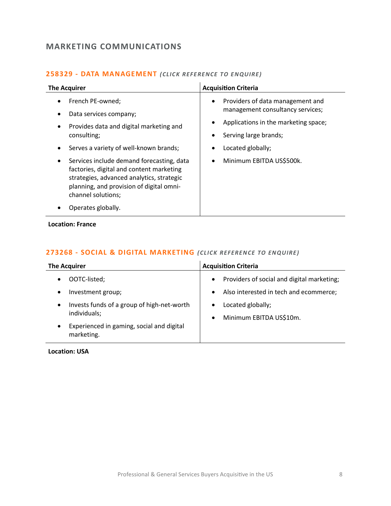# <span id="page-7-0"></span>**MARKETING COMMUNICATIONS**

| <b>The Acquirer</b>                                                                                                                                                                                               | <b>Acquisition Criteria</b>                                                                                                                |
|-------------------------------------------------------------------------------------------------------------------------------------------------------------------------------------------------------------------|--------------------------------------------------------------------------------------------------------------------------------------------|
| French PE-owned;<br>Data services company;<br>Provides data and digital marketing and<br>$\bullet$<br>consulting;                                                                                                 | Providers of data management and<br>٠<br>management consultancy services;<br>Applications in the marketing space;<br>Serving large brands; |
| Serves a variety of well-known brands;<br>$\bullet$                                                                                                                                                               | Located globally;                                                                                                                          |
| Services include demand forecasting, data<br>$\bullet$<br>factories, digital and content marketing<br>strategies, advanced analytics, strategic<br>planning, and provision of digital omni-<br>channel solutions; | Minimum EBITDA US\$500k.                                                                                                                   |
| Operates globally.                                                                                                                                                                                                |                                                                                                                                            |

#### **258329 - [DATA MANAGEMENT](mailto:charlotte.keane@langcliffeinternational.com?subject=258329%20-%20Data%20Management)** *(CLICK REFE RENCE TO EN QUIRE)*

**Location: France**

# **273268 - [SOCIAL & DIGITAL MARKETING](mailto:eloka.philip@langcliffeinternational.com?subject=273268%20-%20Social%20and%20Digital%20Marketing)** *(CLICK REFEREN CE TO EN QUIRE )*

| The Acquirer                                                            | <b>Acquisition Criteria</b>                                            |
|-------------------------------------------------------------------------|------------------------------------------------------------------------|
| OOTC-listed;<br>$\bullet$                                               | Providers of social and digital marketing;<br>$\bullet$                |
| Investment group;<br>$\bullet$                                          | Also interested in tech and ecommerce;<br>$\bullet$                    |
| Invests funds of a group of high-net-worth<br>$\bullet$<br>individuals; | Located globally;<br>$\bullet$<br>Minimum EBITDA US\$10m.<br>$\bullet$ |
| Experienced in gaming, social and digital<br>$\bullet$<br>marketing.    |                                                                        |

**Location: USA**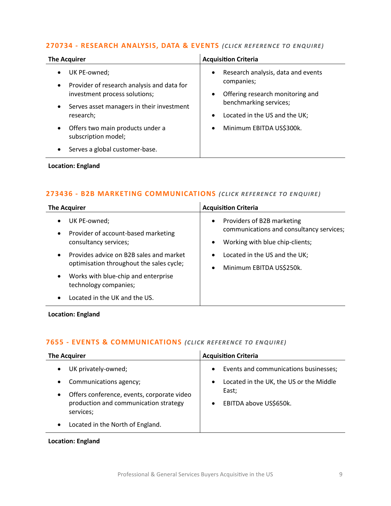#### **270734 - [RESEARCH ANALYSIS, DATA & EVENTS](mailto:emily.mcdermott@langcliffeinternational.com?subject=270734%20-%20Research%20Analysis,%20Data%20and%20Events)** *(CLICK REFEREN CE TO ENQUIRE)*

| <b>The Acquirer</b>                                                                                                                                                             | <b>Acquisition Criteria</b>                                                                                                      |
|---------------------------------------------------------------------------------------------------------------------------------------------------------------------------------|----------------------------------------------------------------------------------------------------------------------------------|
| UK PE-owned;<br>$\bullet$<br>Provider of research analysis and data for<br>$\bullet$<br>investment process solutions;<br>Serves asset managers in their investment<br>$\bullet$ | Research analysis, data and events<br>$\bullet$<br>companies;<br>Offering research monitoring and<br>٠<br>benchmarking services; |
| research;<br>Offers two main products under a<br>$\bullet$<br>subscription model;<br>Serves a global customer-base.                                                             | Located in the US and the UK;<br>$\bullet$<br>Minimum EBITDA US\$300k.<br>$\bullet$                                              |
|                                                                                                                                                                                 |                                                                                                                                  |

#### **Location: England**

#### **273436 - [B2B MARKETING COMMUNICATIONS](mailto:emily.mcdermott@langcliffeinternational.com?subject=273436%20-%20B2B%20Marketing%20Communications)** (CLICK REFERENCE TO ENQUIRE)

| <b>The Acquirer</b>                                                                              | <b>Acquisition Criteria</b>                                                         |
|--------------------------------------------------------------------------------------------------|-------------------------------------------------------------------------------------|
| UK PE-owned;<br>$\bullet$                                                                        | Providers of B2B marketing<br>$\bullet$<br>communications and consultancy services; |
| Provider of account-based marketing<br>$\bullet$<br>consultancy services;                        | Working with blue chip-clients;                                                     |
| Provides advice on B2B sales and market<br>$\bullet$<br>optimisation throughout the sales cycle; | Located in the US and the UK;<br>$\bullet$<br>Minimum EBITDA US\$250k.<br>$\bullet$ |
| Works with blue-chip and enterprise<br>$\bullet$<br>technology companies;                        |                                                                                     |
| Located in the UK and the US.                                                                    |                                                                                     |

#### **Location: England**

# **7655 - [EVENTS & COMMUNICATIONS](mailto:jack.hutchinson@langcliffeinternational.com?subject=7655%20-%20Events%20and%20Communications)** *(CLICK REFE RENCE TO EN QUIRE)*

| <b>The Acquirer</b>                                                                                                                                                                                | <b>Acquisition Criteria</b>                                                                                                                   |
|----------------------------------------------------------------------------------------------------------------------------------------------------------------------------------------------------|-----------------------------------------------------------------------------------------------------------------------------------------------|
| UK privately-owned;<br>Communications agency;<br>Offers conference, events, corporate video<br>$\bullet$<br>production and communication strategy<br>services;<br>Located in the North of England. | Events and communications businesses;<br>$\bullet$<br>Located in the UK, the US or the Middle<br>$\bullet$<br>East;<br>EBITDA above US\$650k. |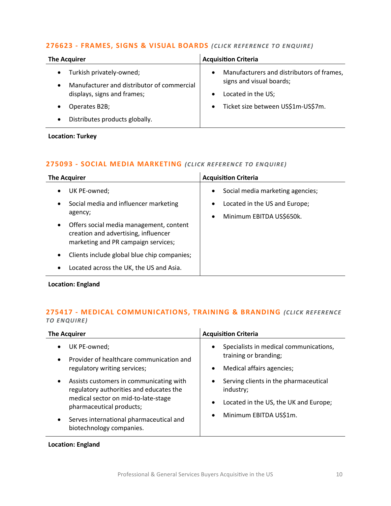#### **276623 - [FRAMES, SIGNS & VISUAL BOARDS](mailto:jack.hutchinson@langcliffeinternational.com?subject=276623%20-%20Frames,%20Signs%20and%20Visual%20Boards)** *(CLICK REFE RENCE TO ENQUIRE)*

| <b>The Acquirer</b>                                                                              | <b>Acquisition Criteria</b>                                                        |
|--------------------------------------------------------------------------------------------------|------------------------------------------------------------------------------------|
| Turkish privately-owned;<br>$\bullet$<br>Manufacturer and distributor of commercial<br>$\bullet$ | Manufacturers and distributors of frames,<br>$\bullet$<br>signs and visual boards; |
| displays, signs and frames;                                                                      | Located in the US;<br>$\bullet$                                                    |
| Operates B2B;                                                                                    | Ticket size between US\$1m-US\$7m.<br>$\bullet$                                    |
| Distributes products globally.                                                                   |                                                                                    |

**Location: Turkey**

#### **275093 - [SOCIAL MEDIA MARKETING](mailto:maryia.amrez@langcliffeinternational.com?subject=275093%20-%20Social%20Media%20Marketing)** *(CLICK REFE RENCE TO EN QUIRE)*

| <b>The Acquirer</b>                                                                                                                 | <b>Acquisition Criteria</b>                   |
|-------------------------------------------------------------------------------------------------------------------------------------|-----------------------------------------------|
| UK PE-owned;                                                                                                                        | Social media marketing agencies;<br>$\bullet$ |
| Social media and influencer marketing<br>$\bullet$                                                                                  | Located in the US and Europe;<br>٠            |
| agency;                                                                                                                             | Minimum EBITDA US\$650k.<br>$\bullet$         |
| Offers social media management, content<br>$\bullet$<br>creation and advertising, influencer<br>marketing and PR campaign services; |                                               |
| Clients include global blue chip companies;<br>$\bullet$                                                                            |                                               |
| Located across the UK, the US and Asia.<br>٠                                                                                        |                                               |

**Location: England**

# **275417 - [MEDICAL COMMUNICATIONS, TRAINING & BRANDING](mailto:maryia.amrez@langcliffeinternational.com?subject=275417%20-%20Medical%20Communications,%20Training%20and%20Branding)** *(CLICK REFE RENCE TO EN QUIRE)*

| <b>The Acquirer</b>                                                                                                                                                                                                                                    | <b>Acquisition Criteria</b>                                                                                                                                  |
|--------------------------------------------------------------------------------------------------------------------------------------------------------------------------------------------------------------------------------------------------------|--------------------------------------------------------------------------------------------------------------------------------------------------------------|
| UK PE-owned;<br>Provider of healthcare communication and<br>$\bullet$<br>regulatory writing services;                                                                                                                                                  | Specialists in medical communications,<br>$\bullet$<br>training or branding;<br>Medical affairs agencies;<br>٠                                               |
| Assists customers in communicating with<br>$\bullet$<br>regulatory authorities and educates the<br>medical sector on mid-to-late-stage<br>pharmaceutical products;<br>Serves international pharmaceutical and<br>$\bullet$<br>biotechnology companies. | Serving clients in the pharmaceutical<br>$\bullet$<br>industry;<br>Located in the US, the UK and Europe;<br>$\bullet$<br>Minimum EBITDA US\$1m.<br>$\bullet$ |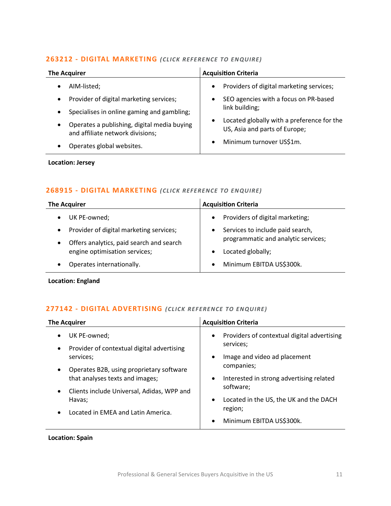#### **263212 - [DIGITAL MARKETING](mailto:jack.hutchinson@langcliffeinternational.com?subject=263212%20-%20Digital%20Marketing)** *(CLICK REFE RENCE TO EN QUIRE)*

| <b>The Acquirer</b>                                     | <b>Acquisition Criteria</b>                |
|---------------------------------------------------------|--------------------------------------------|
| AIM-listed;                                             | Providers of digital marketing services;   |
| $\bullet$                                               | $\bullet$                                  |
| Provider of digital marketing services;                 | SEO agencies with a focus on PR-based      |
| $\bullet$                                               | $\bullet$                                  |
| Specialises in online gaming and gambling;<br>$\bullet$ | link building;                             |
| Operates a publishing, digital media buying             | Located globally with a preference for the |
| $\bullet$                                               | $\bullet$                                  |
| and affiliate network divisions;                        | US, Asia and parts of Europe;              |
| Operates global websites.                               | Minimum turnover US\$1m.                   |
| ٠                                                       | $\bullet$                                  |

#### **Location: Jersey**

#### **268915 - [DIGITAL MARKETING](mailto:maryia.amrez@langcliffeinternational.com?subject=268915%20-%20Digital%20Marketing)** *(CLICK REFE RENCE TO EN QUIRE)*

| The Acquirer                                          | <b>Acquisition Criteria</b>                  |
|-------------------------------------------------------|----------------------------------------------|
| UK PE-owned;<br>$\bullet$                             | Providers of digital marketing;<br>$\bullet$ |
| Provider of digital marketing services;<br>$\bullet$  | Services to include paid search,             |
| Offers analytics, paid search and search<br>$\bullet$ | programmatic and analytic services;          |
| engine optimisation services;                         | Located globally;                            |
| Operates internationally.<br>$\bullet$                | Minimum EBITDA US\$300k.<br>$\bullet$        |

**Location: England**

#### **277142 - [DIGITAL ADVERTISING](mailto:maryia.amrez@langcliffeinternational.com?subject=277142%20-%20Digital%20Advertising)** *(CLICK REFERENCE TO EN QUIRE)*

| <b>The Acquirer</b>                                                                                                                                 | <b>Acquisition Criteria</b>                                                                                        |
|-----------------------------------------------------------------------------------------------------------------------------------------------------|--------------------------------------------------------------------------------------------------------------------|
| UK PE-owned;<br>Provider of contextual digital advertising<br>$\bullet$<br>services;                                                                | Providers of contextual digital advertising<br>$\bullet$<br>services;<br>Image and video ad placement<br>$\bullet$ |
| Operates B2B, using proprietary software<br>$\bullet$<br>that analyses texts and images;<br>Clients include Universal, Adidas, WPP and<br>$\bullet$ | companies;<br>Interested in strong advertising related<br>$\bullet$<br>software;                                   |
| Havas;<br>Located in EMEA and Latin America.                                                                                                        | Located in the US, the UK and the DACH<br>$\bullet$<br>region;<br>Minimum EBITDA US\$300k.<br>$\bullet$            |

**Location: Spain**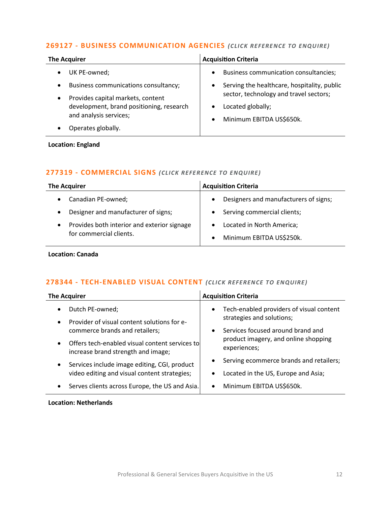#### **269127 - [BUSINESS COMMUNICATION AGENCIES](mailto:maryia.amrez@langcliffeinternational.com?subject=269127%20-%20Business%20Communication%20Agencies)** *(CLICK RE FERE NCE TO ENQUIRE)*

| <b>The Acquirer</b>                               | <b>Acquisition Criteria</b>                        |
|---------------------------------------------------|----------------------------------------------------|
| UK PE-owned;                                      | Business communication consultancies;<br>$\bullet$ |
| Business communications consultancy;<br>$\bullet$ | Serving the healthcare, hospitality, public<br>٠   |
| Provides capital markets, content                 | sector, technology and travel sectors;             |
| development, brand positioning, research          | Located globally;<br>$\bullet$                     |
| and analysis services;                            | Minimum EBITDA US\$650k.<br>$\bullet$              |
| Operates globally.                                |                                                    |

**Location: England**

#### **277319 - [COMMERCIAL SIGNS](mailto:maryia.amrez@langcliffeinternational.com?subject=277319%20-%20Commercial%20Signs)** *(CLICK REFE RENCE TO ENQUIRE)*

| <b>The Acquirer</b>                                                                 | <b>Acquisition Criteria</b>                        |
|-------------------------------------------------------------------------------------|----------------------------------------------------|
| Canadian PE-owned;                                                                  | Designers and manufacturers of signs;<br>$\bullet$ |
| Designer and manufacturer of signs;<br>$\bullet$                                    | Serving commercial clients;                        |
| Provides both interior and exterior signage<br>$\bullet$<br>for commercial clients. | Located in North America;                          |
|                                                                                     | Minimum EBITDA US\$250k.<br>$\bullet$              |
|                                                                                     |                                                    |

**Location: Canada**

#### **278344 - [TECH-ENABLED VISUAL CONTENT](mailto:poppy.briggs@langcliffeinternational.com?subject=278344%20-%20Tech-Enabled%20Visual%20Content)** *(CLICK REFERENCE TO ENQUIRE)*

| <b>The Acquirer</b>                                                                               | <b>Acquisition Criteria</b>                           |
|---------------------------------------------------------------------------------------------------|-------------------------------------------------------|
| Dutch PE-owned;<br>$\bullet$                                                                      | Tech-enabled providers of visual content<br>$\bullet$ |
| Provider of visual content solutions for e-<br>$\bullet$                                          | strategies and solutions;                             |
| commerce brands and retailers;                                                                    | Services focused around brand and<br>$\bullet$        |
| Offers tech-enabled visual content services to<br>$\bullet$<br>increase brand strength and image; | product imagery, and online shopping<br>experiences;  |
| Services include image editing, CGI, product<br>$\bullet$                                         | Serving ecommerce brands and retailers;<br>$\bullet$  |
| video editing and visual content strategies;                                                      | Located in the US, Europe and Asia;                   |
| Serves clients across Europe, the US and Asia.<br>$\bullet$                                       | Minimum EBITDA US\$650k.<br>$\bullet$                 |

#### **Location: Netherlands**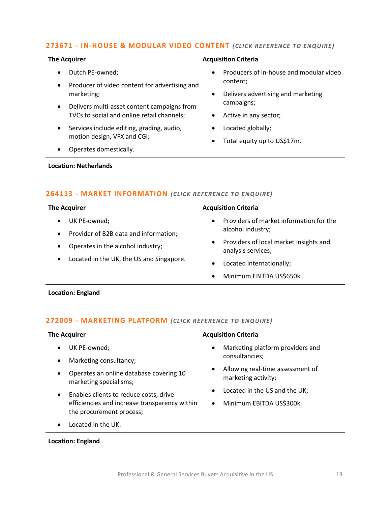# **273671 - [IN-HOUSE & MODULAR VIDEO CONTENT](mailto:poppy.briggs@langcliffeinternational.com?subject=273671%20-%20In-House%20and%20Modular%20Video%20Content)** *(CLICK REFE RENCE TO EN QUIRE)*

| <b>The Acquirer</b>                                                                                    | <b>Acquisition Criteria</b>                                                |
|--------------------------------------------------------------------------------------------------------|----------------------------------------------------------------------------|
| Dutch PE-owned;<br>$\bullet$                                                                           | Producers of in-house and modular video<br>$\bullet$<br>content;           |
| Producer of video content for advertising and<br>$\bullet$<br>marketing;                               | Delivers advertising and marketing<br>٠                                    |
| Delivers multi-asset content campaigns from<br>$\bullet$<br>TVCs to social and online retail channels; | campaigns;<br>Active in any sector;<br>$\bullet$                           |
| Services include editing, grading, audio,<br>$\bullet$<br>motion design, VFX and CGI;                  | Located globally;<br>$\bullet$<br>Total equity up to US\$17m.<br>$\bullet$ |
| Operates domestically.                                                                                 |                                                                            |

#### **Location: Netherlands**

#### **264113 - [MARKET INFORMATION](mailto:emily.mcdermott@langcliffeinternational.com?subject=264113%20-%20Market%20Information)** *(CLICK RE FERENCE TO EN QUIRE)*

| <b>The Acquirer</b>                                                                                                                                                                        | <b>Acquisition Criteria</b>                                                                                                                                                          |
|--------------------------------------------------------------------------------------------------------------------------------------------------------------------------------------------|--------------------------------------------------------------------------------------------------------------------------------------------------------------------------------------|
| UK PE-owned;<br>$\bullet$<br>Provider of B2B data and information;<br>$\bullet$<br>Operates in the alcohol industry;<br>$\bullet$<br>Located in the UK, the US and Singapore.<br>$\bullet$ | Providers of market information for the<br>alcohol industry;<br>Providers of local market insights and<br>analysis services;<br>Located internationally;<br>Minimum EBITDA US\$650k. |

**Location: England**

#### **272009 - [MARKETING PLATFORM](mailto:maryia.amrez@langcliffeinternational.com?subject=272009%20-%20Marketing%20Platform)** *(CLICK REFERENCE TO EN QUIRE)*

| <b>The Acquirer</b>                                                       | <b>Acquisition Criteria</b>                                          |
|---------------------------------------------------------------------------|----------------------------------------------------------------------|
| UK PE-owned;                                                              | Marketing platform providers and<br>$\bullet$                        |
| Marketing consultancy;                                                    | consultancies;                                                       |
| Operates an online database covering 10<br>marketing specialisms;         | Allowing real-time assessment of<br>$\bullet$<br>marketing activity; |
| Enables clients to reduce costs, drive<br>$\bullet$                       | Located in the US and the UK;<br>$\bullet$                           |
| efficiencies and increase transparency within<br>the procurement process; | Minimum EBITDA US\$300k.                                             |
| Located in the UK.                                                        |                                                                      |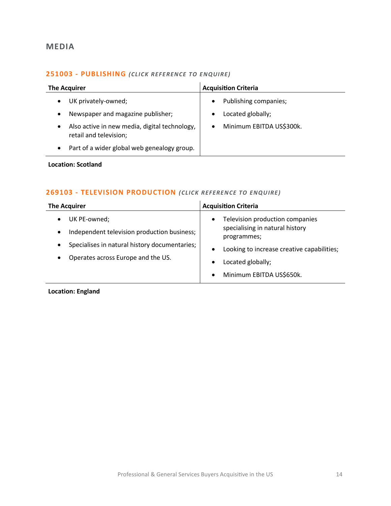# <span id="page-13-0"></span>**MEDIA**

# **251003 - [PUBLISHING](mailto:katie.griffith@langcliffeinternational.com?subject=251003%20-%20Publishing)** *(CLICK REFE RENCE TO ENQUIRE)*

| <b>The Acquirer</b>                                                                  | <b>Acquisition Criteria</b>           |
|--------------------------------------------------------------------------------------|---------------------------------------|
| UK privately-owned;                                                                  | Publishing companies;<br>$\bullet$    |
| Newspaper and magazine publisher;<br>$\bullet$                                       | Located globally;                     |
| Also active in new media, digital technology,<br>$\bullet$<br>retail and television; | Minimum EBITDA US\$300k.<br>$\bullet$ |
| Part of a wider global web genealogy group.                                          |                                       |

#### **Location: Scotland**

# **269103 - [TELEVISION PRODUCTION](mailto:maryia.amrez@langcliffeinternational.com?subject=269103%20-%20Television%20Production)** *(CLICK REFERENCE TO ENQUIRE)*

| <b>The Acquirer</b>                                                                                                                                                                            | <b>Acquisition Criteria</b>                                                                                                                                                                                                          |
|------------------------------------------------------------------------------------------------------------------------------------------------------------------------------------------------|--------------------------------------------------------------------------------------------------------------------------------------------------------------------------------------------------------------------------------------|
| UK PE-owned;<br>$\bullet$<br>Independent television production business;<br>$\bullet$<br>Specialises in natural history documentaries;<br>$\bullet$<br>Operates across Europe and the US.<br>٠ | Television production companies<br>$\bullet$<br>specialising in natural history<br>programmes;<br>Looking to increase creative capabilities;<br>$\bullet$<br>Located globally;<br>$\bullet$<br>Minimum EBITDA US\$650k.<br>$\bullet$ |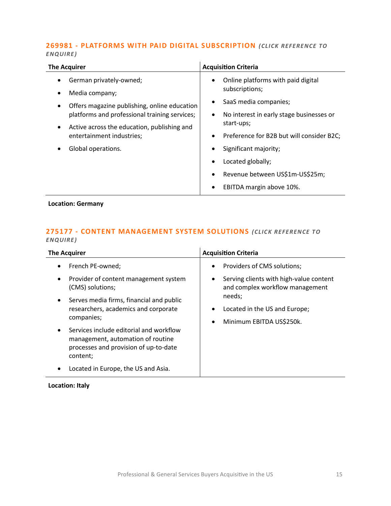#### **269981 - [PLATFORMS WITH PAID DIGITAL SUBSCRIPTION](mailto:poppy.briggs@langcliffeinternational.com?subject=269981%20-%20Platforms%20with%20Paid%20Digital%20Subscription)** *(CLICK REFE RENCE TO ENQUIRE )*

| <b>The Acquirer</b>                                                                   | <b>Acquisition Criteria</b>                            |
|---------------------------------------------------------------------------------------|--------------------------------------------------------|
| German privately-owned;                                                               | Online platforms with paid digital                     |
| Media company;                                                                        | subscriptions;                                         |
| Offers magazine publishing, online education                                          | SaaS media companies;                                  |
| platforms and professional training services;                                         | No interest in early stage businesses or<br>$\bullet$  |
| Active across the education, publishing and<br>$\bullet$<br>entertainment industries; | start-ups;                                             |
|                                                                                       | Preference for B2B but will consider B2C;<br>$\bullet$ |
| Global operations.                                                                    | Significant majority;                                  |
|                                                                                       | Located globally;                                      |
|                                                                                       | Revenue between US\$1m-US\$25m;<br>$\bullet$           |
|                                                                                       | EBITDA margin above 10%.                               |

#### **Location: Germany**

# **275177 - [CONTENT MANAGEMENT SYSTEM SOLUTIONS](mailto:poppy.briggs@langcliffeinternational.com?subject=275177%20-%20Content%20Management%20System%20Solutions) (CLICK REFERENCE TO** *ENQUIRE )*

| <b>The Acquirer</b>                                                                                                                                                                                                                                             | <b>Acquisition Criteria</b>                                                                                                                                                                        |
|-----------------------------------------------------------------------------------------------------------------------------------------------------------------------------------------------------------------------------------------------------------------|----------------------------------------------------------------------------------------------------------------------------------------------------------------------------------------------------|
| French PE-owned;<br>Provider of content management system<br>(CMS) solutions;<br>Serves media firms, financial and public<br>researchers, academics and corporate<br>companies;<br>Services include editorial and workflow<br>management, automation of routine | Providers of CMS solutions;<br>$\bullet$<br>Serving clients with high-value content<br>٠<br>and complex workflow management<br>needs;<br>Located in the US and Europe;<br>Minimum EBITDA US\$250k. |
| processes and provision of up-to-date<br>content;<br>Located in Europe, the US and Asia.                                                                                                                                                                        |                                                                                                                                                                                                    |
|                                                                                                                                                                                                                                                                 |                                                                                                                                                                                                    |

#### **Location: Italy**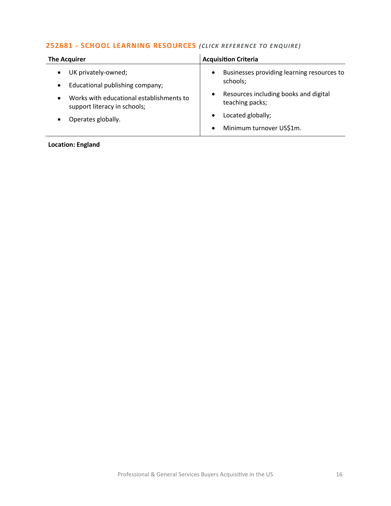# **252681 - [SCHOOL LEARNING RESOURCES](mailto:katie.griffith@langcliffeinternational.com?subject=252681%20-%20School%20Learning%20Resources)** *(CLICK REFE RENCE TO E NQUIRE )*

| <b>The Acquirer</b>                                                                                                                                          | <b>Acquisition Criteria</b>                                                                                                                  |
|--------------------------------------------------------------------------------------------------------------------------------------------------------------|----------------------------------------------------------------------------------------------------------------------------------------------|
| UK privately-owned;<br>Educational publishing company;<br>$\bullet$<br>Works with educational establishments to<br>$\bullet$<br>support literacy in schools; | Businesses providing learning resources to<br>$\bullet$<br>schools;<br>Resources including books and digital<br>$\bullet$<br>teaching packs; |
| Operates globally.                                                                                                                                           | Located globally;<br>$\bullet$<br>Minimum turnover US\$1m.<br>$\bullet$                                                                      |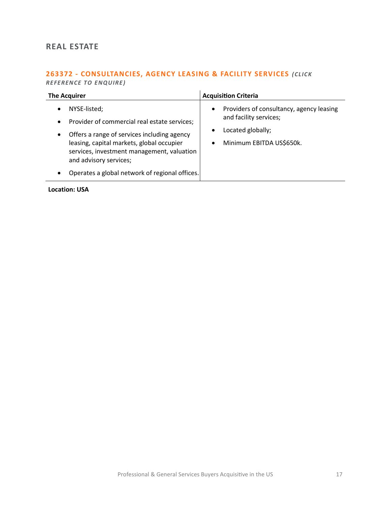# <span id="page-16-0"></span>**REAL ESTATE**

# **263372 - [CONSULTANCIES, AGENCY LEASING & FACILITY SERVICES](mailto:eloka.philip@langcliffeinternational.com?subject=263372%20-%20Consultancies,%20Agency%20Leasing%20and%20Facility%20Services)** *(CLICK REFEREN CE TO ENQUIRE )*

| <b>The Acquirer</b>                                                                                                                                                              | <b>Acquisition Criteria</b>                                                                          |
|----------------------------------------------------------------------------------------------------------------------------------------------------------------------------------|------------------------------------------------------------------------------------------------------|
| NYSE-listed;<br>$\bullet$<br>Provider of commercial real estate services;<br>$\bullet$<br>Offers a range of services including agency<br>$\bullet$                               | Providers of consultancy, agency leasing<br>$\bullet$<br>and facility services;<br>Located globally; |
| leasing, capital markets, global occupier<br>services, investment management, valuation<br>and advisory services;<br>Operates a global network of regional offices.<br>$\bullet$ | Minimum EBITDA US\$650k.<br>$\bullet$                                                                |

**Location: USA**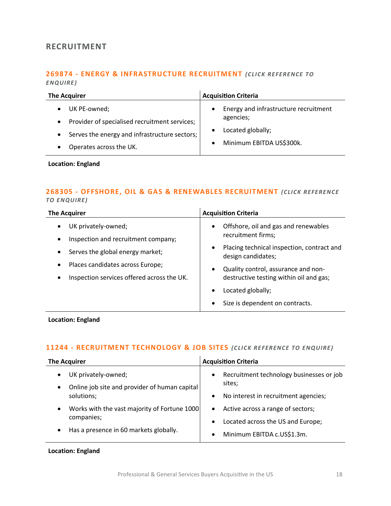# <span id="page-17-0"></span>**RECRUITMENT**

#### **269874 - [ENERGY & INFRASTRUCTURE RECRUITMENT](mailto:emily.mcdermott@langcliffeinternational.com?subject=269874%20-%20Energy%20and%20Infrastructure%20Recruitment)** *(CLICK RE FERENCE TO ENQUIRE )*

| <b>The Acquirer</b>                                                                                                                      | <b>Acquisition Criteria</b>                                                                                                                |
|------------------------------------------------------------------------------------------------------------------------------------------|--------------------------------------------------------------------------------------------------------------------------------------------|
| UK PE-owned;<br>Provider of specialised recruitment services;<br>$\bullet$<br>Serves the energy and infrastructure sectors;<br>$\bullet$ | Energy and infrastructure recruitment<br>$\bullet$<br>agencies;<br>Located globally;<br>$\bullet$<br>Minimum EBITDA US\$300k.<br>$\bullet$ |
| Operates across the UK.                                                                                                                  |                                                                                                                                            |

#### **Location: England**

#### **268305 - [OFFSHORE, OIL & GAS & RENEWABLES RECRUITMENT](mailto:jack.hutchinson@langcliffeinternational.com?subject=268305%20-%20Offshore,%20Oil%20and%20Gas%20and%20Renewables%20Recruitment)** *(CLICK REFEREN CE TO EN QUIRE)*

| <b>The Acquirer</b>                                     | <b>Acquisition Criteria</b>                                                   |
|---------------------------------------------------------|-------------------------------------------------------------------------------|
| UK privately-owned;                                     | Offshore, oil and gas and renewables<br>$\bullet$                             |
| Inspection and recruitment company;<br>$\bullet$        | recruitment firms;                                                            |
| Serves the global energy market;<br>$\bullet$           | Placing technical inspection, contract and<br>$\bullet$<br>design candidates; |
| Places candidates across Europe;<br>$\bullet$           | Quality control, assurance and non-<br>$\bullet$                              |
| Inspection services offered across the UK.<br>$\bullet$ | destructive testing within oil and gas;                                       |
|                                                         | Located globally;<br>٠                                                        |
|                                                         | Size is dependent on contracts.<br>$\bullet$                                  |

#### **Location: England**

#### **11244 - [RECRUITMENT TECHNOLOGY & JOB SITES](mailto:jack.hutchinson@langcliffeinternational.com?subject=11244%20-%20Recruitment%20Technology%20and%20Job%20Sites)** *(CLICK RE FERENCE TO ENQUIRE)*

| <b>The Acquirer</b>                           | <b>Acquisition Criteria</b>                       |
|-----------------------------------------------|---------------------------------------------------|
| UK privately-owned;                           | Recruitment technology businesses or job          |
| Online job site and provider of human capital | $\bullet$                                         |
| $\bullet$                                     | sites;                                            |
| solutions;                                    | No interest in recruitment agencies;<br>$\bullet$ |
| Works with the vast majority of Fortune 1000  | Active across a range of sectors;                 |
| $\bullet$                                     | $\bullet$                                         |
| companies;                                    | Located across the US and Europe;<br>$\bullet$    |
| Has a presence in 60 markets globally.        | Minimum EBITDA c.US\$1.3m.                        |
| $\bullet$                                     | $\bullet$                                         |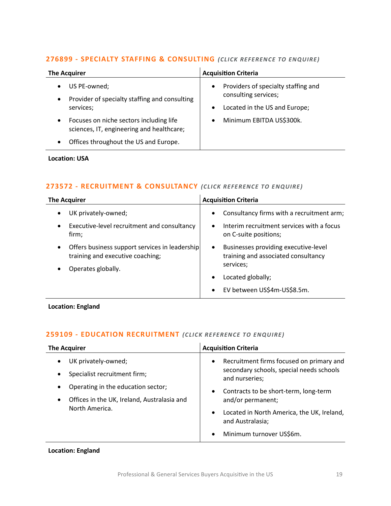#### **276899 - [SPECIALTY STAFFING & CONSULTING](mailto:maryia.amrez@langcliffeinternational.com?subject=276899%20-%20Specialty%20Staffing%20and%20Consulting)** *(CLICK REFE RENCE TO EN QUIRE )*

| <b>The Acquirer</b>                                                                                                                                     | <b>Acquisition Criteria</b>                                                                                            |
|---------------------------------------------------------------------------------------------------------------------------------------------------------|------------------------------------------------------------------------------------------------------------------------|
| US PE-owned;<br>$\bullet$<br>Provider of specialty staffing and consulting<br>$\bullet$<br>services;                                                    | Providers of specialty staffing and<br>$\bullet$<br>consulting services;<br>Located in the US and Europe;<br>$\bullet$ |
| Focuses on niche sectors including life<br>$\bullet$<br>sciences, IT, engineering and healthcare;<br>Offices throughout the US and Europe.<br>$\bullet$ | Minimum EBITDA US\$300k.<br>$\bullet$                                                                                  |

#### **Location: USA**

#### **273572 - [RECRUITMENT & CONSULTANCY](mailto:jack.hutchinson@langcliffeinternational.com?subject=273572%20-%20Recruitment%20and%20Consultancy)** *(CLICK REFE RENCE TO E NQUIRE )*

| <b>The Acquirer</b>                                                                             | <b>Acquisition Criteria</b>                                                              |
|-------------------------------------------------------------------------------------------------|------------------------------------------------------------------------------------------|
| UK privately-owned;<br>$\bullet$                                                                | Consultancy firms with a recruitment arm;<br>$\bullet$                                   |
| Executive-level recruitment and consultancy<br>$\bullet$<br>firm;                               | Interim recruitment services with a focus<br>$\bullet$<br>on C-suite positions;          |
| Offers business support services in leadership<br>$\bullet$<br>training and executive coaching; | Businesses providing executive-level<br>$\bullet$<br>training and associated consultancy |
| Operates globally.                                                                              | services;                                                                                |
|                                                                                                 | Located globally;<br>$\bullet$                                                           |
|                                                                                                 | EV between US\$4m-US\$8.5m.<br>$\bullet$                                                 |

**Location: England**

#### **259109 - [EDUCATION RECRUITMENT](mailto:jack.hutchinson@langcliffeinternational.com?subject=259109%20-%20Education%20Recruitment)** *(CLICK REFERENCE TO ENQUIRE)*

| <b>The Acquirer</b>                                                                                              | <b>Acquisition Criteria</b>                                                                                                        |
|------------------------------------------------------------------------------------------------------------------|------------------------------------------------------------------------------------------------------------------------------------|
| UK privately-owned;<br>Specialist recruitment firm;                                                              | Recruitment firms focused on primary and<br>$\bullet$<br>secondary schools, special needs schools<br>and nurseries;                |
| Operating in the education sector;<br>Offices in the UK, Ireland, Australasia and<br>$\bullet$<br>North America. | Contracts to be short-term, long-term<br>$\bullet$<br>and/or permanent;<br>Located in North America, the UK, Ireland,<br>$\bullet$ |
|                                                                                                                  | and Australasia;<br>Minimum turnover US\$6m.<br>$\bullet$                                                                          |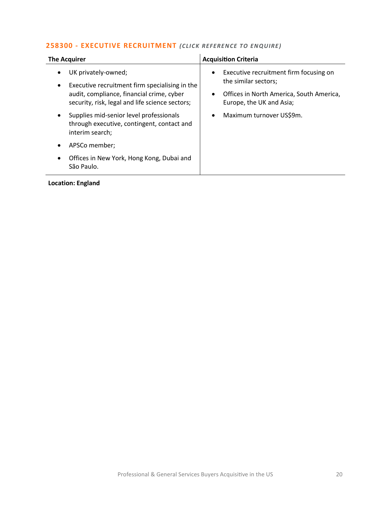# **258300 - [EXECUTIVE RECRUITMENT](mailto:jack.hutchinson@langcliffeinternational.com?subject=258300%20-%20Executive%20Recruitment)** *(CLICK REFERENCE TO ENQUIRE)*

| <b>The Acquirer</b>                                                                                                                                                                | <b>Acquisition Criteria</b>                                                                                                            |
|------------------------------------------------------------------------------------------------------------------------------------------------------------------------------------|----------------------------------------------------------------------------------------------------------------------------------------|
| UK privately-owned;<br>Executive recruitment firm specialising in the<br>$\bullet$<br>audit, compliance, financial crime, cyber<br>security, risk, legal and life science sectors; | Executive recruitment firm focusing on<br>the similar sectors;<br>Offices in North America, South America,<br>Europe, the UK and Asia; |
| Supplies mid-senior level professionals<br>through executive, contingent, contact and<br>interim search;                                                                           | Maximum turnover US\$9m.                                                                                                               |
| APSCo member;                                                                                                                                                                      |                                                                                                                                        |
| Offices in New York, Hong Kong, Dubai and<br>São Paulo.                                                                                                                            |                                                                                                                                        |
|                                                                                                                                                                                    |                                                                                                                                        |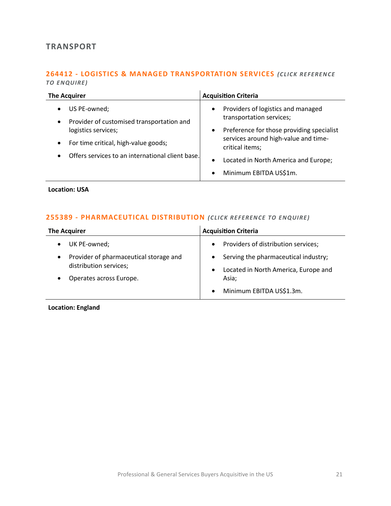# <span id="page-20-0"></span>**TRANSPORT**

#### **264412 - [LOGISTICS & MANAGED TRANSPORTATION SERVICES](mailto:george.davies@langcliffeinternational.com?subject=264412%20-%20Logistics%20and%20Managed%20Transportation%20Services)** *(CLICK RE FEREN CE TO EN QUIRE)*

| <b>The Acquirer</b>                                                                                                                                                                                                              | <b>Acquisition Criteria</b>                                                                                                                                                                                                                                                                  |
|----------------------------------------------------------------------------------------------------------------------------------------------------------------------------------------------------------------------------------|----------------------------------------------------------------------------------------------------------------------------------------------------------------------------------------------------------------------------------------------------------------------------------------------|
| US PE-owned;<br>$\bullet$<br>Provider of customised transportation and<br>$\bullet$<br>logistics services;<br>For time critical, high-value goods;<br>$\bullet$<br>Offers services to an international client base.<br>$\bullet$ | Providers of logistics and managed<br>$\bullet$<br>transportation services;<br>Preference for those providing specialist<br>$\bullet$<br>services around high-value and time-<br>critical items;<br>Located in North America and Europe;<br>$\bullet$<br>Minimum EBITDA US\$1m.<br>$\bullet$ |

**Location: USA**

# **255389 - [PHARMACEUTICAL DISTRIBUTION](mailto:maryia.amrez@langcliffeinternational.com?subject=255389%20-%20Pharmaceutical%20Distribution)** *(CLICK RE FERENCE TO ENQUIRE)*

| <b>The Acquirer</b>                                                           | <b>Acquisition Criteria</b>                                                  |
|-------------------------------------------------------------------------------|------------------------------------------------------------------------------|
| UK PE-owned;                                                                  | Providers of distribution services;                                          |
| Provider of pharmaceutical storage and<br>$\bullet$<br>distribution services; | Serving the pharmaceutical industry;<br>Located in North America, Europe and |
| Operates across Europe.                                                       | Asia;                                                                        |
|                                                                               | Minimum EBITDA US\$1.3m.                                                     |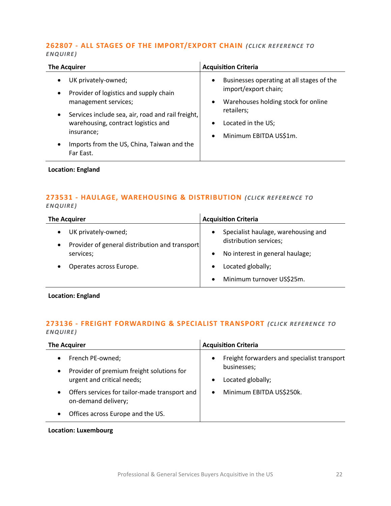#### **262807 - [ALL STAGES OF THE IMPORT/EXPORT CHAIN](mailto:lauren.parker@langcliffeinternational.com?subject=262807%20-%20All%20Stages%20of%20the%20Import/Export%20Chain)** *(CLICK REFERENCE TO ENQUIRE )*

| <b>The Acquirer</b>                                                                                                                                                                                                                                                                  | <b>Acquisition Criteria</b>                                                                                                                                                                                        |
|--------------------------------------------------------------------------------------------------------------------------------------------------------------------------------------------------------------------------------------------------------------------------------------|--------------------------------------------------------------------------------------------------------------------------------------------------------------------------------------------------------------------|
| UK privately-owned;<br>Provider of logistics and supply chain<br>$\bullet$<br>management services;<br>Services include sea, air, road and rail freight,<br>$\bullet$<br>warehousing, contract logistics and<br>insurance;<br>Imports from the US, China, Taiwan and the<br>$\bullet$ | Businesses operating at all stages of the<br>$\bullet$<br>import/export chain;<br>Warehouses holding stock for online<br>٠<br>retailers;<br>Located in the US;<br>$\bullet$<br>Minimum EBITDA US\$1m.<br>$\bullet$ |
| Far East.                                                                                                                                                                                                                                                                            |                                                                                                                                                                                                                    |

**Location: England**

# **273531 - [HAULAGE, WAREHOUSING & DISTRIBUTION](mailto:joanna.hughes@langcliffeinternational.com?subject=273531%20-%20Haulage,%20Warehousing%20and%20Distribution)** *(CLICK RE FERENCE TO ENQUIRE )*

| <b>The Acquirer</b>                                                                             | <b>Acquisition Criteria</b>                                   |
|-------------------------------------------------------------------------------------------------|---------------------------------------------------------------|
| UK privately-owned;<br>$\bullet$<br>Provider of general distribution and transport<br>$\bullet$ | Specialist haulage, warehousing and<br>distribution services; |
| services;                                                                                       | No interest in general haulage;                               |
| Operates across Europe.                                                                         | Located globally;                                             |
|                                                                                                 | Minimum turnover US\$25m.                                     |

**Location: England**

# **273136 - [FREIGHT FORWARDING & SPECIALIST TRANSPORT](mailto:poppy.briggs@langcliffeinternational.com?subject=273136%20-%20Freight%20Forwarding%20and%20Specialist%20Transport)** *(CLICK REFEREN CE TO ENQUIRE )*

| <b>The Acquirer</b>                                                                              | <b>Acquisition Criteria</b>                                                                               |
|--------------------------------------------------------------------------------------------------|-----------------------------------------------------------------------------------------------------------|
| French PE-owned;<br>Provider of premium freight solutions for<br>٠<br>urgent and critical needs; | Freight forwarders and specialist transport<br>$\bullet$<br>businesses;<br>Located globally;<br>$\bullet$ |
| Offers services for tailor-made transport and<br>$\bullet$<br>on-demand delivery;                | Minimum EBITDA US\$250k.<br>$\bullet$                                                                     |
| Offices across Europe and the US.                                                                |                                                                                                           |

#### **Location: Luxembourg**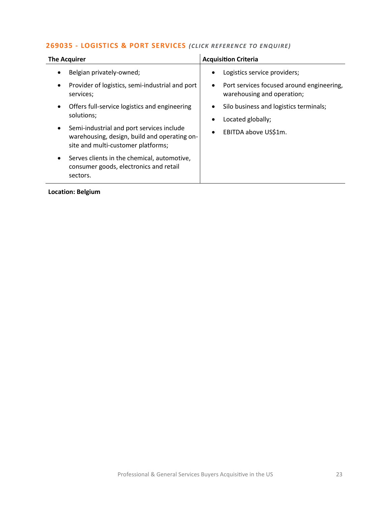# **269035 - [LOGISTICS & PORT SERVICES](mailto:poppy.briggs@langcliffeinternational.com?subject=269035%20-%20Logistics%20and%20Port%20Services)** *(CLICK RE FEREN CE TO EN QUIRE)*

| <b>The Acquirer</b>                                                                                                                          | <b>Acquisition Criteria</b>                                                          |
|----------------------------------------------------------------------------------------------------------------------------------------------|--------------------------------------------------------------------------------------|
| Belgian privately-owned;<br>$\bullet$                                                                                                        | Logistics service providers;<br>٠                                                    |
| Provider of logistics, semi-industrial and port<br>$\bullet$<br>services;                                                                    | Port services focused around engineering,<br>$\bullet$<br>warehousing and operation; |
| Offers full-service logistics and engineering<br>$\bullet$<br>solutions;                                                                     | Silo business and logistics terminals;<br>Located globally;<br>$\bullet$             |
| Semi-industrial and port services include<br>$\bullet$<br>warehousing, design, build and operating on-<br>site and multi-customer platforms; | EBITDA above US\$1m.<br>٠                                                            |
| Serves clients in the chemical, automotive,<br>$\bullet$<br>consumer goods, electronics and retail<br>sectors.                               |                                                                                      |
|                                                                                                                                              |                                                                                      |

**Location: Belgium**